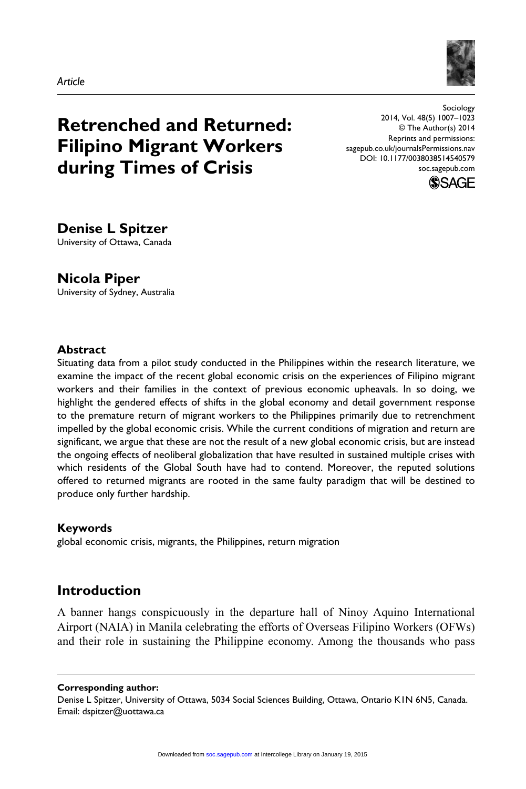

# **Retrenched and Returned: Filipino Migrant Workers during Times of Crisis**

Sociology 2014, Vol. 48(5) 1007–1023 © The Author(s) 2014 Reprints and permissions: sagepub.co.uk/journalsPermissions.nav DOI: 10.1177/0038038514540579 soc.sagepub.com



# **Denise L Spitzer**

University of Ottawa, Canada

## **Nicola Piper**

University of Sydney, Australia

### **Abstract**

Situating data from a pilot study conducted in the Philippines within the research literature, we examine the impact of the recent global economic crisis on the experiences of Filipino migrant workers and their families in the context of previous economic upheavals. In so doing, we highlight the gendered effects of shifts in the global economy and detail government response to the premature return of migrant workers to the Philippines primarily due to retrenchment impelled by the global economic crisis. While the current conditions of migration and return are significant, we argue that these are not the result of a new global economic crisis, but are instead the ongoing effects of neoliberal globalization that have resulted in sustained multiple crises with which residents of the Global South have had to contend. Moreover, the reputed solutions offered to returned migrants are rooted in the same faulty paradigm that will be destined to produce only further hardship.

### **Keywords**

global economic crisis, migrants, the Philippines, return migration

# **Introduction**

A banner hangs conspicuously in the departure hall of Ninoy Aquino International Airport (NAIA) in Manila celebrating the efforts of Overseas Filipino Workers (OFWs) and their role in sustaining the Philippine economy. Among the thousands who pass

#### **Corresponding author:**

Denise L Spitzer, University of Ottawa, 5034 Social Sciences Building, Ottawa, Ontario K1N 6N5, Canada. Email: dspitzer@uottawa.ca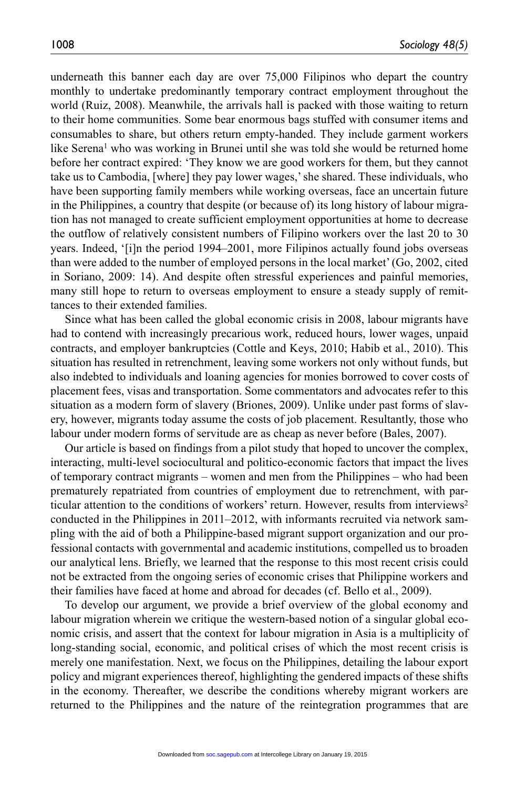underneath this banner each day are over 75,000 Filipinos who depart the country monthly to undertake predominantly temporary contract employment throughout the world (Ruiz, 2008). Meanwhile, the arrivals hall is packed with those waiting to return to their home communities. Some bear enormous bags stuffed with consumer items and consumables to share, but others return empty-handed. They include garment workers like Serena<sup>1</sup> who was working in Brunei until she was told she would be returned home before her contract expired: 'They know we are good workers for them, but they cannot take us to Cambodia, [where] they pay lower wages,' she shared. These individuals, who have been supporting family members while working overseas, face an uncertain future in the Philippines, a country that despite (or because of) its long history of labour migration has not managed to create sufficient employment opportunities at home to decrease the outflow of relatively consistent numbers of Filipino workers over the last 20 to 30 years. Indeed, '[i]n the period 1994–2001, more Filipinos actually found jobs overseas than were added to the number of employed persons in the local market' (Go, 2002, cited in Soriano, 2009: 14). And despite often stressful experiences and painful memories, many still hope to return to overseas employment to ensure a steady supply of remittances to their extended families.

Since what has been called the global economic crisis in 2008, labour migrants have had to contend with increasingly precarious work, reduced hours, lower wages, unpaid contracts, and employer bankruptcies (Cottle and Keys, 2010; Habib et al., 2010). This situation has resulted in retrenchment, leaving some workers not only without funds, but also indebted to individuals and loaning agencies for monies borrowed to cover costs of placement fees, visas and transportation. Some commentators and advocates refer to this situation as a modern form of slavery (Briones, 2009). Unlike under past forms of slavery, however, migrants today assume the costs of job placement. Resultantly, those who labour under modern forms of servitude are as cheap as never before (Bales, 2007).

Our article is based on findings from a pilot study that hoped to uncover the complex, interacting, multi-level sociocultural and politico-economic factors that impact the lives of temporary contract migrants – women and men from the Philippines – who had been prematurely repatriated from countries of employment due to retrenchment, with particular attention to the conditions of workers' return. However, results from interviews<sup>2</sup> conducted in the Philippines in 2011–2012, with informants recruited via network sampling with the aid of both a Philippine-based migrant support organization and our professional contacts with governmental and academic institutions, compelled us to broaden our analytical lens. Briefly, we learned that the response to this most recent crisis could not be extracted from the ongoing series of economic crises that Philippine workers and their families have faced at home and abroad for decades (cf. Bello et al., 2009).

To develop our argument, we provide a brief overview of the global economy and labour migration wherein we critique the western-based notion of a singular global economic crisis, and assert that the context for labour migration in Asia is a multiplicity of long-standing social, economic, and political crises of which the most recent crisis is merely one manifestation. Next, we focus on the Philippines, detailing the labour export policy and migrant experiences thereof, highlighting the gendered impacts of these shifts in the economy. Thereafter, we describe the conditions whereby migrant workers are returned to the Philippines and the nature of the reintegration programmes that are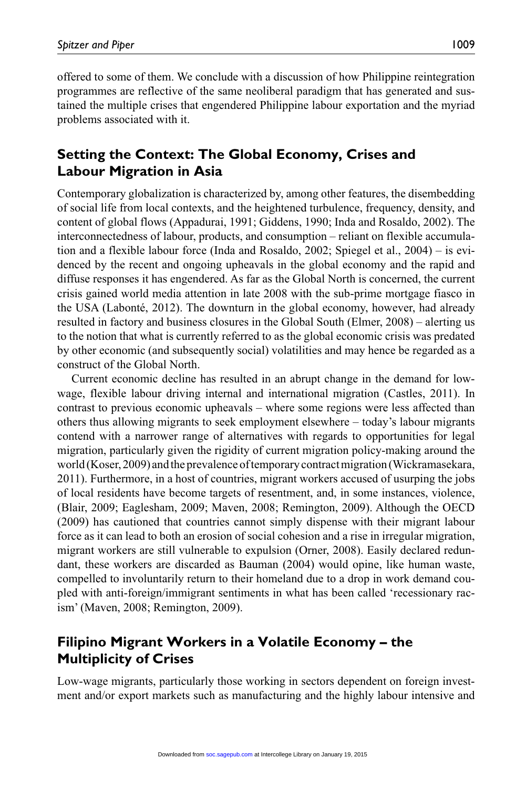offered to some of them. We conclude with a discussion of how Philippine reintegration programmes are reflective of the same neoliberal paradigm that has generated and sustained the multiple crises that engendered Philippine labour exportation and the myriad problems associated with it.

# **Setting the Context: The Global Economy, Crises and Labour Migration in Asia**

Contemporary globalization is characterized by, among other features, the disembedding of social life from local contexts, and the heightened turbulence, frequency, density, and content of global flows (Appadurai, 1991; Giddens, 1990; Inda and Rosaldo, 2002). The interconnectedness of labour, products, and consumption – reliant on flexible accumulation and a flexible labour force (Inda and Rosaldo, 2002; Spiegel et al., 2004) – is evidenced by the recent and ongoing upheavals in the global economy and the rapid and diffuse responses it has engendered. As far as the Global North is concerned, the current crisis gained world media attention in late 2008 with the sub-prime mortgage fiasco in the USA (Labonté, 2012). The downturn in the global economy, however, had already resulted in factory and business closures in the Global South (Elmer, 2008) – alerting us to the notion that what is currently referred to as the global economic crisis was predated by other economic (and subsequently social) volatilities and may hence be regarded as a construct of the Global North.

Current economic decline has resulted in an abrupt change in the demand for lowwage, flexible labour driving internal and international migration (Castles, 2011). In contrast to previous economic upheavals – where some regions were less affected than others thus allowing migrants to seek employment elsewhere – today's labour migrants contend with a narrower range of alternatives with regards to opportunities for legal migration, particularly given the rigidity of current migration policy-making around the world (Koser, 2009) and the prevalence of temporary contract migration (Wickramasekara, 2011). Furthermore, in a host of countries, migrant workers accused of usurping the jobs of local residents have become targets of resentment, and, in some instances, violence, (Blair, 2009; Eaglesham, 2009; Maven, 2008; Remington, 2009). Although the OECD (2009) has cautioned that countries cannot simply dispense with their migrant labour force as it can lead to both an erosion of social cohesion and a rise in irregular migration, migrant workers are still vulnerable to expulsion (Orner, 2008). Easily declared redundant, these workers are discarded as Bauman (2004) would opine, like human waste, compelled to involuntarily return to their homeland due to a drop in work demand coupled with anti-foreign/immigrant sentiments in what has been called 'recessionary racism' (Maven, 2008; Remington, 2009).

# **Filipino Migrant Workers in a Volatile Economy – the Multiplicity of Crises**

Low-wage migrants, particularly those working in sectors dependent on foreign investment and/or export markets such as manufacturing and the highly labour intensive and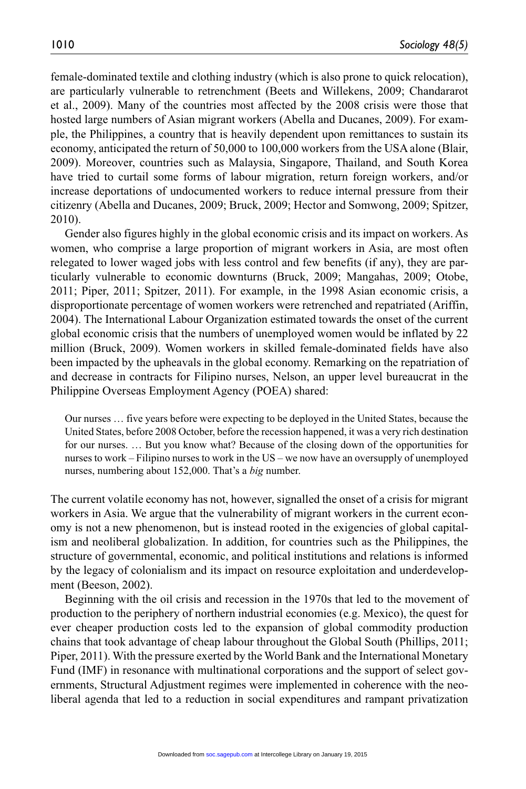female-dominated textile and clothing industry (which is also prone to quick relocation), are particularly vulnerable to retrenchment (Beets and Willekens, 2009; Chandararot et al., 2009). Many of the countries most affected by the 2008 crisis were those that hosted large numbers of Asian migrant workers (Abella and Ducanes, 2009). For example, the Philippines, a country that is heavily dependent upon remittances to sustain its economy, anticipated the return of 50,000 to 100,000 workers from the USA alone (Blair, 2009). Moreover, countries such as Malaysia, Singapore, Thailand, and South Korea have tried to curtail some forms of labour migration, return foreign workers, and/or increase deportations of undocumented workers to reduce internal pressure from their citizenry (Abella and Ducanes, 2009; Bruck, 2009; Hector and Somwong, 2009; Spitzer, 2010).

Gender also figures highly in the global economic crisis and its impact on workers. As women, who comprise a large proportion of migrant workers in Asia, are most often relegated to lower waged jobs with less control and few benefits (if any), they are particularly vulnerable to economic downturns (Bruck, 2009; Mangahas, 2009; Otobe, 2011; Piper, 2011; Spitzer, 2011). For example, in the 1998 Asian economic crisis, a disproportionate percentage of women workers were retrenched and repatriated (Ariffin, 2004). The International Labour Organization estimated towards the onset of the current global economic crisis that the numbers of unemployed women would be inflated by 22 million (Bruck, 2009). Women workers in skilled female-dominated fields have also been impacted by the upheavals in the global economy. Remarking on the repatriation of and decrease in contracts for Filipino nurses, Nelson, an upper level bureaucrat in the Philippine Overseas Employment Agency (POEA) shared:

Our nurses … five years before were expecting to be deployed in the United States, because the United States, before 2008 October, before the recession happened, it was a very rich destination for our nurses. … But you know what? Because of the closing down of the opportunities for nurses to work – Filipino nurses to work in the US – we now have an oversupply of unemployed nurses, numbering about 152,000. That's a *big* number.

The current volatile economy has not, however, signalled the onset of a crisis for migrant workers in Asia. We argue that the vulnerability of migrant workers in the current economy is not a new phenomenon, but is instead rooted in the exigencies of global capitalism and neoliberal globalization. In addition, for countries such as the Philippines, the structure of governmental, economic, and political institutions and relations is informed by the legacy of colonialism and its impact on resource exploitation and underdevelopment (Beeson, 2002).

Beginning with the oil crisis and recession in the 1970s that led to the movement of production to the periphery of northern industrial economies (e.g. Mexico), the quest for ever cheaper production costs led to the expansion of global commodity production chains that took advantage of cheap labour throughout the Global South (Phillips, 2011; Piper, 2011). With the pressure exerted by the World Bank and the International Monetary Fund (IMF) in resonance with multinational corporations and the support of select governments, Structural Adjustment regimes were implemented in coherence with the neoliberal agenda that led to a reduction in social expenditures and rampant privatization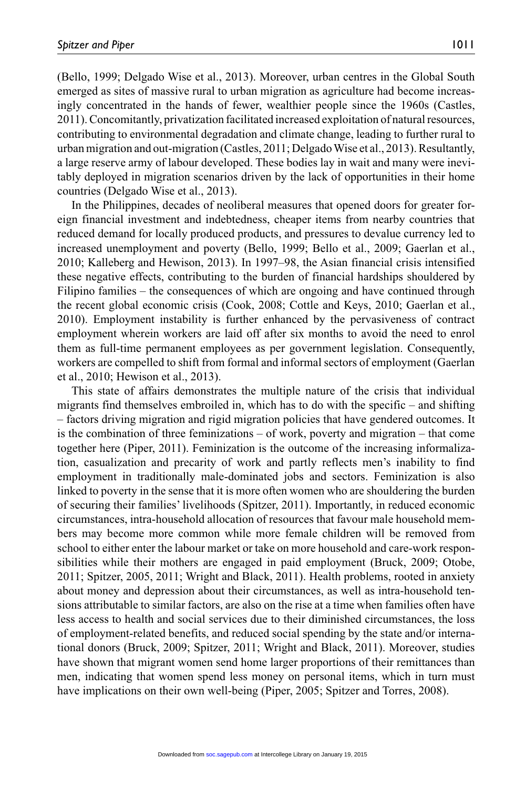(Bello, 1999; Delgado Wise et al., 2013). Moreover, urban centres in the Global South emerged as sites of massive rural to urban migration as agriculture had become increasingly concentrated in the hands of fewer, wealthier people since the 1960s (Castles, 2011). Concomitantly, privatization facilitated increased exploitation of natural resources, contributing to environmental degradation and climate change, leading to further rural to urban migration and out-migration (Castles, 2011; Delgado Wise et al., 2013). Resultantly, a large reserve army of labour developed. These bodies lay in wait and many were inevitably deployed in migration scenarios driven by the lack of opportunities in their home countries (Delgado Wise et al., 2013).

In the Philippines, decades of neoliberal measures that opened doors for greater foreign financial investment and indebtedness, cheaper items from nearby countries that reduced demand for locally produced products, and pressures to devalue currency led to increased unemployment and poverty (Bello, 1999; Bello et al., 2009; Gaerlan et al., 2010; Kalleberg and Hewison, 2013). In 1997–98, the Asian financial crisis intensified these negative effects, contributing to the burden of financial hardships shouldered by Filipino families – the consequences of which are ongoing and have continued through the recent global economic crisis (Cook, 2008; Cottle and Keys, 2010; Gaerlan et al., 2010). Employment instability is further enhanced by the pervasiveness of contract employment wherein workers are laid off after six months to avoid the need to enrol them as full-time permanent employees as per government legislation. Consequently, workers are compelled to shift from formal and informal sectors of employment (Gaerlan et al., 2010; Hewison et al., 2013).

This state of affairs demonstrates the multiple nature of the crisis that individual migrants find themselves embroiled in, which has to do with the specific – and shifting – factors driving migration and rigid migration policies that have gendered outcomes. It is the combination of three feminizations – of work, poverty and migration – that come together here (Piper, 2011). Feminization is the outcome of the increasing informalization, casualization and precarity of work and partly reflects men's inability to find employment in traditionally male-dominated jobs and sectors. Feminization is also linked to poverty in the sense that it is more often women who are shouldering the burden of securing their families' livelihoods (Spitzer, 2011). Importantly, in reduced economic circumstances, intra-household allocation of resources that favour male household members may become more common while more female children will be removed from school to either enter the labour market or take on more household and care-work responsibilities while their mothers are engaged in paid employment (Bruck, 2009; Otobe, 2011; Spitzer, 2005, 2011; Wright and Black, 2011). Health problems, rooted in anxiety about money and depression about their circumstances, as well as intra-household tensions attributable to similar factors, are also on the rise at a time when families often have less access to health and social services due to their diminished circumstances, the loss of employment-related benefits, and reduced social spending by the state and/or international donors (Bruck, 2009; Spitzer, 2011; Wright and Black, 2011). Moreover, studies have shown that migrant women send home larger proportions of their remittances than men, indicating that women spend less money on personal items, which in turn must have implications on their own well-being (Piper, 2005; Spitzer and Torres, 2008).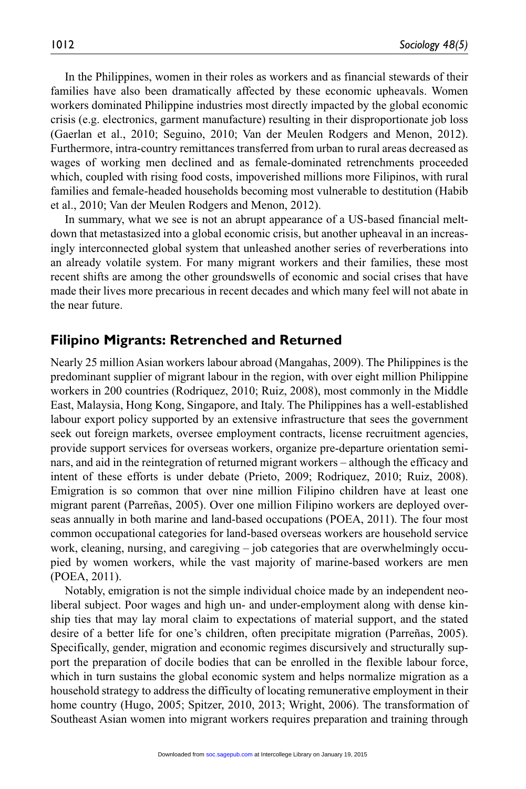In the Philippines, women in their roles as workers and as financial stewards of their families have also been dramatically affected by these economic upheavals. Women workers dominated Philippine industries most directly impacted by the global economic crisis (e.g. electronics, garment manufacture) resulting in their disproportionate job loss (Gaerlan et al., 2010; Seguino, 2010; Van der Meulen Rodgers and Menon, 2012). Furthermore, intra-country remittances transferred from urban to rural areas decreased as wages of working men declined and as female-dominated retrenchments proceeded which, coupled with rising food costs, impoverished millions more Filipinos, with rural families and female-headed households becoming most vulnerable to destitution (Habib et al., 2010; Van der Meulen Rodgers and Menon, 2012).

In summary, what we see is not an abrupt appearance of a US-based financial meltdown that metastasized into a global economic crisis, but another upheaval in an increasingly interconnected global system that unleashed another series of reverberations into an already volatile system. For many migrant workers and their families, these most recent shifts are among the other groundswells of economic and social crises that have made their lives more precarious in recent decades and which many feel will not abate in the near future.

## **Filipino Migrants: Retrenched and Returned**

Nearly 25 million Asian workers labour abroad (Mangahas, 2009). The Philippines is the predominant supplier of migrant labour in the region, with over eight million Philippine workers in 200 countries (Rodriquez, 2010; Ruiz, 2008), most commonly in the Middle East, Malaysia, Hong Kong, Singapore, and Italy. The Philippines has a well-established labour export policy supported by an extensive infrastructure that sees the government seek out foreign markets, oversee employment contracts, license recruitment agencies, provide support services for overseas workers, organize pre-departure orientation seminars, and aid in the reintegration of returned migrant workers – although the efficacy and intent of these efforts is under debate (Prieto, 2009; Rodriquez, 2010; Ruiz, 2008). Emigration is so common that over nine million Filipino children have at least one migrant parent (Parreñas, 2005). Over one million Filipino workers are deployed overseas annually in both marine and land-based occupations (POEA, 2011). The four most common occupational categories for land-based overseas workers are household service work, cleaning, nursing, and caregiving – job categories that are overwhelmingly occupied by women workers, while the vast majority of marine-based workers are men (POEA, 2011).

Notably, emigration is not the simple individual choice made by an independent neoliberal subject. Poor wages and high un- and under-employment along with dense kinship ties that may lay moral claim to expectations of material support, and the stated desire of a better life for one's children, often precipitate migration (Parreñas, 2005). Specifically, gender, migration and economic regimes discursively and structurally support the preparation of docile bodies that can be enrolled in the flexible labour force, which in turn sustains the global economic system and helps normalize migration as a household strategy to address the difficulty of locating remunerative employment in their home country (Hugo, 2005; Spitzer, 2010, 2013; Wright, 2006). The transformation of Southeast Asian women into migrant workers requires preparation and training through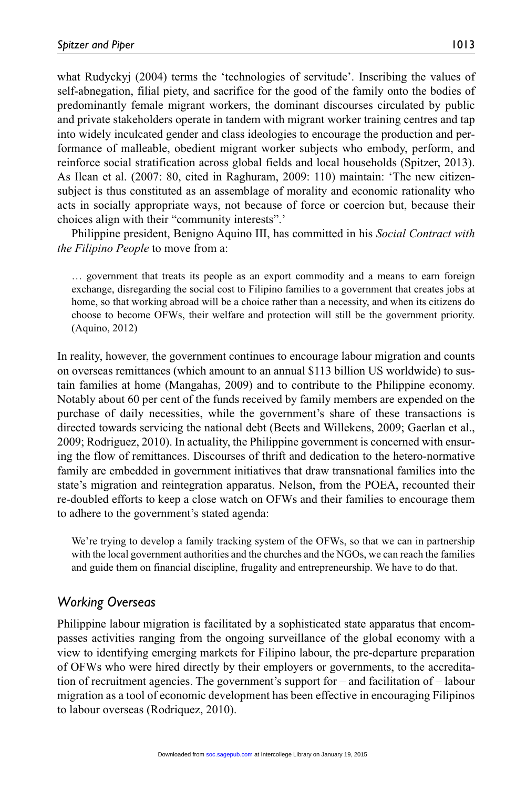what Rudyckyj (2004) terms the 'technologies of servitude'. Inscribing the values of self-abnegation, filial piety, and sacrifice for the good of the family onto the bodies of predominantly female migrant workers, the dominant discourses circulated by public and private stakeholders operate in tandem with migrant worker training centres and tap into widely inculcated gender and class ideologies to encourage the production and performance of malleable, obedient migrant worker subjects who embody, perform, and reinforce social stratification across global fields and local households (Spitzer, 2013). As Ilcan et al. (2007: 80, cited in Raghuram, 2009: 110) maintain: 'The new citizensubject is thus constituted as an assemblage of morality and economic rationality who acts in socially appropriate ways, not because of force or coercion but, because their choices align with their "community interests".'

Philippine president, Benigno Aquino III, has committed in his *Social Contract with the Filipino People* to move from a:

… government that treats its people as an export commodity and a means to earn foreign exchange, disregarding the social cost to Filipino families to a government that creates jobs at home, so that working abroad will be a choice rather than a necessity, and when its citizens do choose to become OFWs, their welfare and protection will still be the government priority. (Aquino, 2012)

In reality, however, the government continues to encourage labour migration and counts on overseas remittances (which amount to an annual \$113 billion US worldwide) to sustain families at home (Mangahas, 2009) and to contribute to the Philippine economy. Notably about 60 per cent of the funds received by family members are expended on the purchase of daily necessities, while the government's share of these transactions is directed towards servicing the national debt (Beets and Willekens, 2009; Gaerlan et al., 2009; Rodriguez, 2010). In actuality, the Philippine government is concerned with ensuring the flow of remittances. Discourses of thrift and dedication to the hetero-normative family are embedded in government initiatives that draw transnational families into the state's migration and reintegration apparatus. Nelson, from the POEA, recounted their re-doubled efforts to keep a close watch on OFWs and their families to encourage them to adhere to the government's stated agenda:

We're trying to develop a family tracking system of the OFWs, so that we can in partnership with the local government authorities and the churches and the NGOs, we can reach the families and guide them on financial discipline, frugality and entrepreneurship. We have to do that.

## *Working Overseas*

Philippine labour migration is facilitated by a sophisticated state apparatus that encompasses activities ranging from the ongoing surveillance of the global economy with a view to identifying emerging markets for Filipino labour, the pre-departure preparation of OFWs who were hired directly by their employers or governments, to the accreditation of recruitment agencies. The government's support for – and facilitation of – labour migration as a tool of economic development has been effective in encouraging Filipinos to labour overseas (Rodriquez, 2010).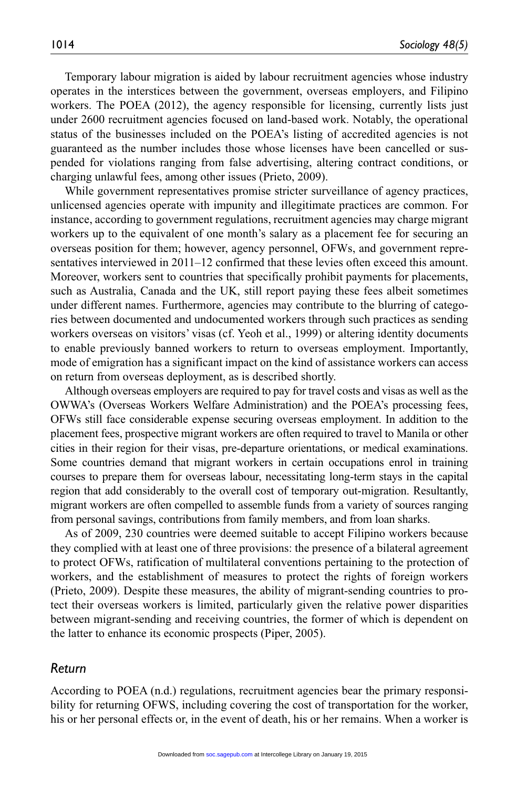Temporary labour migration is aided by labour recruitment agencies whose industry operates in the interstices between the government, overseas employers, and Filipino workers. The POEA (2012), the agency responsible for licensing, currently lists just under 2600 recruitment agencies focused on land-based work. Notably, the operational status of the businesses included on the POEA's listing of accredited agencies is not guaranteed as the number includes those whose licenses have been cancelled or suspended for violations ranging from false advertising, altering contract conditions, or charging unlawful fees, among other issues (Prieto, 2009).

While government representatives promise stricter surveillance of agency practices, unlicensed agencies operate with impunity and illegitimate practices are common. For instance, according to government regulations, recruitment agencies may charge migrant workers up to the equivalent of one month's salary as a placement fee for securing an overseas position for them; however, agency personnel, OFWs, and government representatives interviewed in 2011–12 confirmed that these levies often exceed this amount. Moreover, workers sent to countries that specifically prohibit payments for placements, such as Australia, Canada and the UK, still report paying these fees albeit sometimes under different names. Furthermore, agencies may contribute to the blurring of categories between documented and undocumented workers through such practices as sending workers overseas on visitors' visas (cf. Yeoh et al., 1999) or altering identity documents to enable previously banned workers to return to overseas employment. Importantly, mode of emigration has a significant impact on the kind of assistance workers can access on return from overseas deployment, as is described shortly.

Although overseas employers are required to pay for travel costs and visas as well as the OWWA's (Overseas Workers Welfare Administration) and the POEA's processing fees, OFWs still face considerable expense securing overseas employment. In addition to the placement fees, prospective migrant workers are often required to travel to Manila or other cities in their region for their visas, pre-departure orientations, or medical examinations. Some countries demand that migrant workers in certain occupations enrol in training courses to prepare them for overseas labour, necessitating long-term stays in the capital region that add considerably to the overall cost of temporary out-migration. Resultantly, migrant workers are often compelled to assemble funds from a variety of sources ranging from personal savings, contributions from family members, and from loan sharks.

As of 2009, 230 countries were deemed suitable to accept Filipino workers because they complied with at least one of three provisions: the presence of a bilateral agreement to protect OFWs, ratification of multilateral conventions pertaining to the protection of workers, and the establishment of measures to protect the rights of foreign workers (Prieto, 2009). Despite these measures, the ability of migrant-sending countries to protect their overseas workers is limited, particularly given the relative power disparities between migrant-sending and receiving countries, the former of which is dependent on the latter to enhance its economic prospects (Piper, 2005).

#### *Return*

According to POEA (n.d.) regulations, recruitment agencies bear the primary responsibility for returning OFWS, including covering the cost of transportation for the worker, his or her personal effects or, in the event of death, his or her remains. When a worker is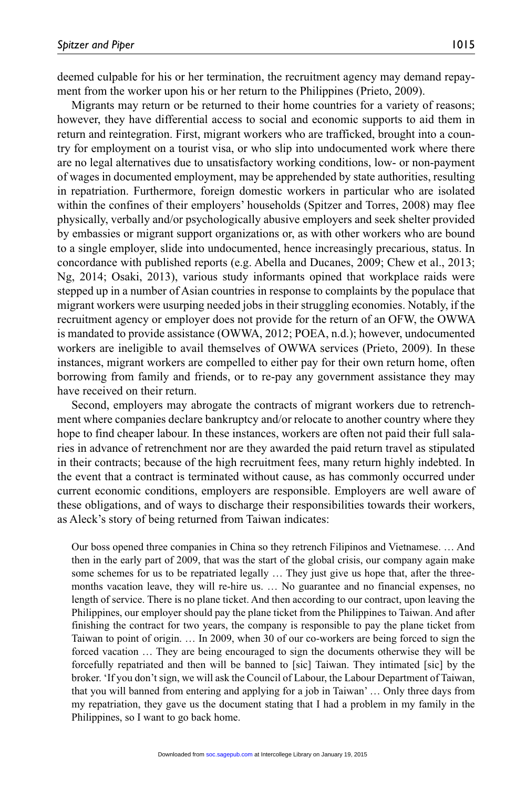deemed culpable for his or her termination, the recruitment agency may demand repayment from the worker upon his or her return to the Philippines (Prieto, 2009).

Migrants may return or be returned to their home countries for a variety of reasons; however, they have differential access to social and economic supports to aid them in return and reintegration. First, migrant workers who are trafficked, brought into a country for employment on a tourist visa, or who slip into undocumented work where there are no legal alternatives due to unsatisfactory working conditions, low- or non-payment of wages in documented employment, may be apprehended by state authorities, resulting in repatriation. Furthermore, foreign domestic workers in particular who are isolated within the confines of their employers' households (Spitzer and Torres, 2008) may flee physically, verbally and/or psychologically abusive employers and seek shelter provided by embassies or migrant support organizations or, as with other workers who are bound to a single employer, slide into undocumented, hence increasingly precarious, status. In concordance with published reports (e.g. Abella and Ducanes, 2009; Chew et al., 2013; Ng, 2014; Osaki, 2013), various study informants opined that workplace raids were stepped up in a number of Asian countries in response to complaints by the populace that migrant workers were usurping needed jobs in their struggling economies. Notably, if the recruitment agency or employer does not provide for the return of an OFW, the OWWA is mandated to provide assistance (OWWA, 2012; POEA, n.d.); however, undocumented workers are ineligible to avail themselves of OWWA services (Prieto, 2009). In these instances, migrant workers are compelled to either pay for their own return home, often borrowing from family and friends, or to re-pay any government assistance they may have received on their return.

Second, employers may abrogate the contracts of migrant workers due to retrenchment where companies declare bankruptcy and/or relocate to another country where they hope to find cheaper labour. In these instances, workers are often not paid their full salaries in advance of retrenchment nor are they awarded the paid return travel as stipulated in their contracts; because of the high recruitment fees, many return highly indebted. In the event that a contract is terminated without cause, as has commonly occurred under current economic conditions, employers are responsible. Employers are well aware of these obligations, and of ways to discharge their responsibilities towards their workers, as Aleck's story of being returned from Taiwan indicates:

Our boss opened three companies in China so they retrench Filipinos and Vietnamese. … And then in the early part of 2009, that was the start of the global crisis, our company again make some schemes for us to be repatriated legally … They just give us hope that, after the threemonths vacation leave, they will re-hire us. … No guarantee and no financial expenses, no length of service. There is no plane ticket. And then according to our contract, upon leaving the Philippines, our employer should pay the plane ticket from the Philippines to Taiwan. And after finishing the contract for two years, the company is responsible to pay the plane ticket from Taiwan to point of origin. … In 2009, when 30 of our co-workers are being forced to sign the forced vacation … They are being encouraged to sign the documents otherwise they will be forcefully repatriated and then will be banned to [sic] Taiwan. They intimated [sic] by the broker. 'If you don't sign, we will ask the Council of Labour, the Labour Department of Taiwan, that you will banned from entering and applying for a job in Taiwan' … Only three days from my repatriation, they gave us the document stating that I had a problem in my family in the Philippines, so I want to go back home.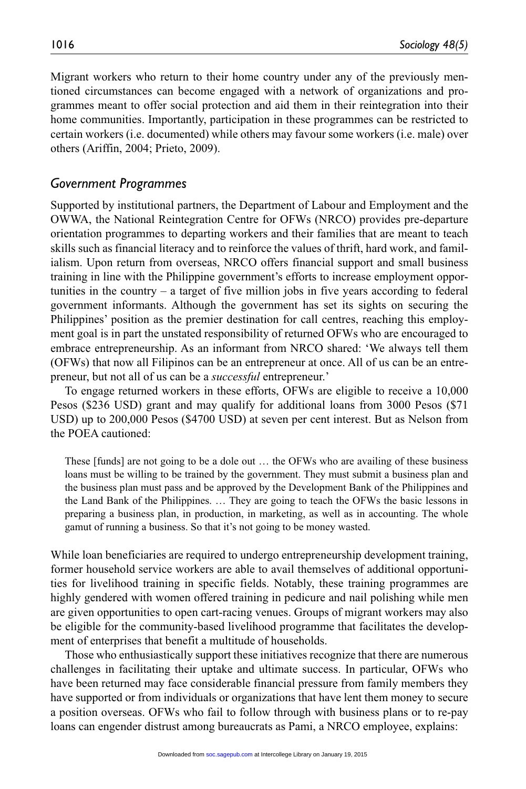Migrant workers who return to their home country under any of the previously mentioned circumstances can become engaged with a network of organizations and programmes meant to offer social protection and aid them in their reintegration into their home communities. Importantly, participation in these programmes can be restricted to certain workers (i.e. documented) while others may favour some workers (i.e. male) over others (Ariffin, 2004; Prieto, 2009).

### *Government Programmes*

Supported by institutional partners, the Department of Labour and Employment and the OWWA, the National Reintegration Centre for OFWs (NRCO) provides pre-departure orientation programmes to departing workers and their families that are meant to teach skills such as financial literacy and to reinforce the values of thrift, hard work, and familialism. Upon return from overseas, NRCO offers financial support and small business training in line with the Philippine government's efforts to increase employment opportunities in the country – a target of five million jobs in five years according to federal government informants. Although the government has set its sights on securing the Philippines' position as the premier destination for call centres, reaching this employment goal is in part the unstated responsibility of returned OFWs who are encouraged to embrace entrepreneurship. As an informant from NRCO shared: 'We always tell them (OFWs) that now all Filipinos can be an entrepreneur at once. All of us can be an entrepreneur, but not all of us can be a *successful* entrepreneur.'

To engage returned workers in these efforts, OFWs are eligible to receive a 10,000 Pesos (\$236 USD) grant and may qualify for additional loans from 3000 Pesos (\$71 USD) up to 200,000 Pesos (\$4700 USD) at seven per cent interest. But as Nelson from the POEA cautioned:

These [funds] are not going to be a dole out … the OFWs who are availing of these business loans must be willing to be trained by the government. They must submit a business plan and the business plan must pass and be approved by the Development Bank of the Philippines and the Land Bank of the Philippines. … They are going to teach the OFWs the basic lessons in preparing a business plan, in production, in marketing, as well as in accounting. The whole gamut of running a business. So that it's not going to be money wasted.

While loan beneficiaries are required to undergo entrepreneurship development training, former household service workers are able to avail themselves of additional opportunities for livelihood training in specific fields. Notably, these training programmes are highly gendered with women offered training in pedicure and nail polishing while men are given opportunities to open cart-racing venues. Groups of migrant workers may also be eligible for the community-based livelihood programme that facilitates the development of enterprises that benefit a multitude of households.

Those who enthusiastically support these initiatives recognize that there are numerous challenges in facilitating their uptake and ultimate success. In particular, OFWs who have been returned may face considerable financial pressure from family members they have supported or from individuals or organizations that have lent them money to secure a position overseas. OFWs who fail to follow through with business plans or to re-pay loans can engender distrust among bureaucrats as Pami, a NRCO employee, explains: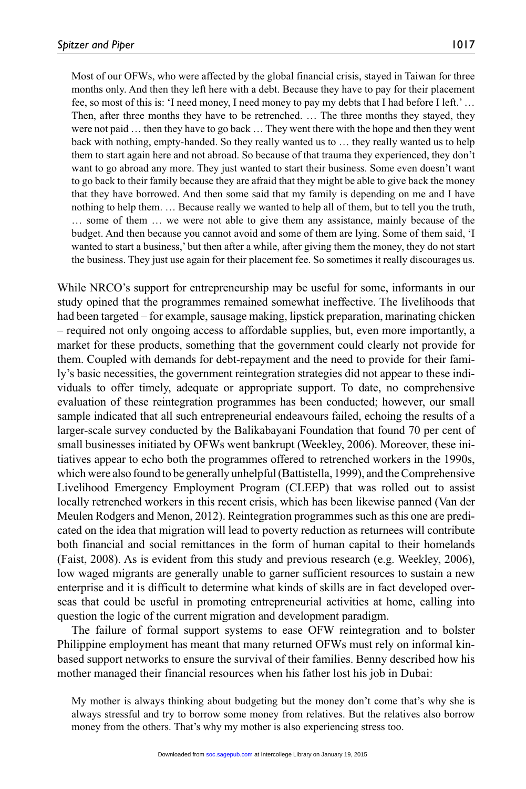Most of our OFWs, who were affected by the global financial crisis, stayed in Taiwan for three months only. And then they left here with a debt. Because they have to pay for their placement fee, so most of this is: 'I need money, I need money to pay my debts that I had before I left.' … Then, after three months they have to be retrenched. … The three months they stayed, they were not paid … then they have to go back … They went there with the hope and then they went back with nothing, empty-handed. So they really wanted us to … they really wanted us to help them to start again here and not abroad. So because of that trauma they experienced, they don't want to go abroad any more. They just wanted to start their business. Some even doesn't want to go back to their family because they are afraid that they might be able to give back the money that they have borrowed. And then some said that my family is depending on me and I have nothing to help them. … Because really we wanted to help all of them, but to tell you the truth, … some of them … we were not able to give them any assistance, mainly because of the budget. And then because you cannot avoid and some of them are lying. Some of them said, 'I wanted to start a business,' but then after a while, after giving them the money, they do not start the business. They just use again for their placement fee. So sometimes it really discourages us.

While NRCO's support for entrepreneurship may be useful for some, informants in our study opined that the programmes remained somewhat ineffective. The livelihoods that had been targeted – for example, sausage making, lipstick preparation, marinating chicken – required not only ongoing access to affordable supplies, but, even more importantly, a market for these products, something that the government could clearly not provide for them. Coupled with demands for debt-repayment and the need to provide for their family's basic necessities, the government reintegration strategies did not appear to these individuals to offer timely, adequate or appropriate support. To date, no comprehensive evaluation of these reintegration programmes has been conducted; however, our small sample indicated that all such entrepreneurial endeavours failed, echoing the results of a larger-scale survey conducted by the Balikabayani Foundation that found 70 per cent of small businesses initiated by OFWs went bankrupt (Weekley, 2006). Moreover, these initiatives appear to echo both the programmes offered to retrenched workers in the 1990s, which were also found to be generally unhelpful (Battistella, 1999), and the Comprehensive Livelihood Emergency Employment Program (CLEEP) that was rolled out to assist locally retrenched workers in this recent crisis, which has been likewise panned (Van der Meulen Rodgers and Menon, 2012). Reintegration programmes such as this one are predicated on the idea that migration will lead to poverty reduction as returnees will contribute both financial and social remittances in the form of human capital to their homelands (Faist, 2008). As is evident from this study and previous research (e.g. Weekley, 2006), low waged migrants are generally unable to garner sufficient resources to sustain a new enterprise and it is difficult to determine what kinds of skills are in fact developed overseas that could be useful in promoting entrepreneurial activities at home, calling into question the logic of the current migration and development paradigm.

The failure of formal support systems to ease OFW reintegration and to bolster Philippine employment has meant that many returned OFWs must rely on informal kinbased support networks to ensure the survival of their families. Benny described how his mother managed their financial resources when his father lost his job in Dubai:

My mother is always thinking about budgeting but the money don't come that's why she is always stressful and try to borrow some money from relatives. But the relatives also borrow money from the others. That's why my mother is also experiencing stress too.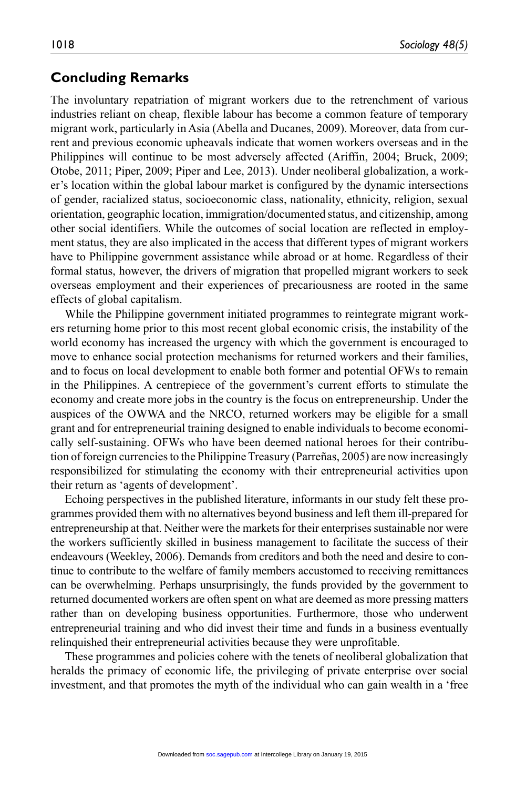## **Concluding Remarks**

The involuntary repatriation of migrant workers due to the retrenchment of various industries reliant on cheap, flexible labour has become a common feature of temporary migrant work, particularly in Asia (Abella and Ducanes, 2009). Moreover, data from current and previous economic upheavals indicate that women workers overseas and in the Philippines will continue to be most adversely affected (Ariffin, 2004; Bruck, 2009; Otobe, 2011; Piper, 2009; Piper and Lee, 2013). Under neoliberal globalization, a worker's location within the global labour market is configured by the dynamic intersections of gender, racialized status, socioeconomic class, nationality, ethnicity, religion, sexual orientation, geographic location, immigration/documented status, and citizenship, among other social identifiers. While the outcomes of social location are reflected in employment status, they are also implicated in the access that different types of migrant workers have to Philippine government assistance while abroad or at home. Regardless of their formal status, however, the drivers of migration that propelled migrant workers to seek overseas employment and their experiences of precariousness are rooted in the same effects of global capitalism.

While the Philippine government initiated programmes to reintegrate migrant workers returning home prior to this most recent global economic crisis, the instability of the world economy has increased the urgency with which the government is encouraged to move to enhance social protection mechanisms for returned workers and their families, and to focus on local development to enable both former and potential OFWs to remain in the Philippines. A centrepiece of the government's current efforts to stimulate the economy and create more jobs in the country is the focus on entrepreneurship. Under the auspices of the OWWA and the NRCO, returned workers may be eligible for a small grant and for entrepreneurial training designed to enable individuals to become economically self-sustaining. OFWs who have been deemed national heroes for their contribution of foreign currencies to the Philippine Treasury (Parreñas, 2005) are now increasingly responsibilized for stimulating the economy with their entrepreneurial activities upon their return as 'agents of development'.

Echoing perspectives in the published literature, informants in our study felt these programmes provided them with no alternatives beyond business and left them ill-prepared for entrepreneurship at that. Neither were the markets for their enterprises sustainable nor were the workers sufficiently skilled in business management to facilitate the success of their endeavours (Weekley, 2006). Demands from creditors and both the need and desire to continue to contribute to the welfare of family members accustomed to receiving remittances can be overwhelming. Perhaps unsurprisingly, the funds provided by the government to returned documented workers are often spent on what are deemed as more pressing matters rather than on developing business opportunities. Furthermore, those who underwent entrepreneurial training and who did invest their time and funds in a business eventually relinquished their entrepreneurial activities because they were unprofitable.

These programmes and policies cohere with the tenets of neoliberal globalization that heralds the primacy of economic life, the privileging of private enterprise over social investment, and that promotes the myth of the individual who can gain wealth in a 'free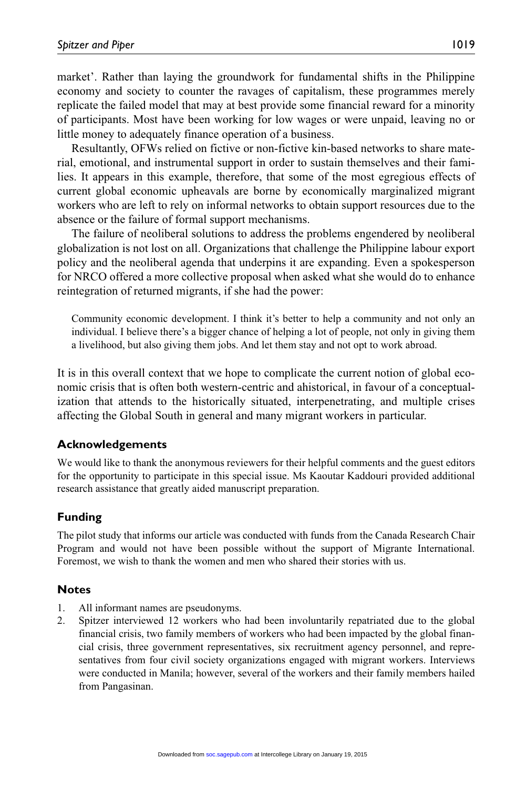market'. Rather than laying the groundwork for fundamental shifts in the Philippine economy and society to counter the ravages of capitalism, these programmes merely replicate the failed model that may at best provide some financial reward for a minority of participants. Most have been working for low wages or were unpaid, leaving no or little money to adequately finance operation of a business.

Resultantly, OFWs relied on fictive or non-fictive kin-based networks to share material, emotional, and instrumental support in order to sustain themselves and their families. It appears in this example, therefore, that some of the most egregious effects of current global economic upheavals are borne by economically marginalized migrant workers who are left to rely on informal networks to obtain support resources due to the absence or the failure of formal support mechanisms.

The failure of neoliberal solutions to address the problems engendered by neoliberal globalization is not lost on all. Organizations that challenge the Philippine labour export policy and the neoliberal agenda that underpins it are expanding. Even a spokesperson for NRCO offered a more collective proposal when asked what she would do to enhance reintegration of returned migrants, if she had the power:

Community economic development. I think it's better to help a community and not only an individual. I believe there's a bigger chance of helping a lot of people, not only in giving them a livelihood, but also giving them jobs. And let them stay and not opt to work abroad.

It is in this overall context that we hope to complicate the current notion of global economic crisis that is often both western-centric and ahistorical, in favour of a conceptualization that attends to the historically situated, interpenetrating, and multiple crises affecting the Global South in general and many migrant workers in particular.

### **Acknowledgements**

We would like to thank the anonymous reviewers for their helpful comments and the guest editors for the opportunity to participate in this special issue. Ms Kaoutar Kaddouri provided additional research assistance that greatly aided manuscript preparation.

### **Funding**

The pilot study that informs our article was conducted with funds from the Canada Research Chair Program and would not have been possible without the support of Migrante International. Foremost, we wish to thank the women and men who shared their stories with us.

#### **Notes**

- 1. All informant names are pseudonyms.
- 2. Spitzer interviewed 12 workers who had been involuntarily repatriated due to the global financial crisis, two family members of workers who had been impacted by the global financial crisis, three government representatives, six recruitment agency personnel, and representatives from four civil society organizations engaged with migrant workers. Interviews were conducted in Manila; however, several of the workers and their family members hailed from Pangasinan.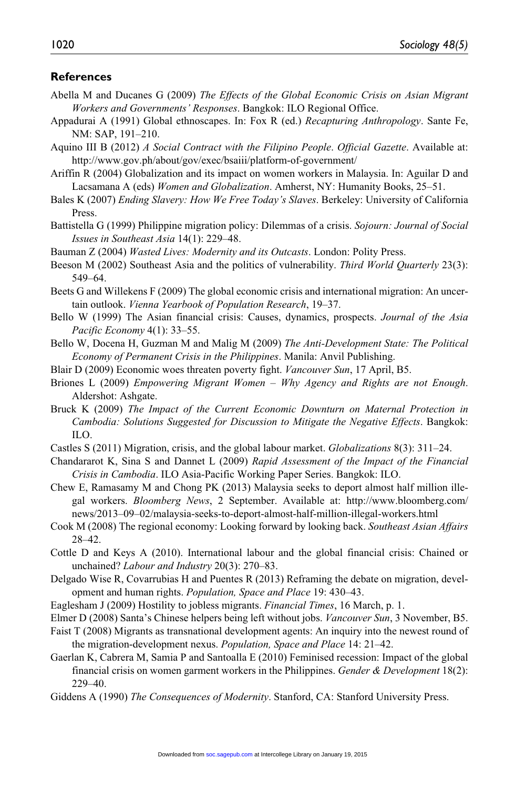#### **References**

- Abella M and Ducanes G (2009) *The Effects of the Global Economic Crisis on Asian Migrant Workers and Governments' Responses*. Bangkok: ILO Regional Office.
- Appadurai A (1991) Global ethnoscapes. In: Fox R (ed.) *Recapturing Anthropology*. Sante Fe, NM: SAP, 191–210.
- Aquino III B (2012) *A Social Contract with the Filipino People*. *Official Gazette*. Available at: http://www.gov.ph/about/gov/exec/bsaiii/platform-of-government/
- Ariffin R (2004) Globalization and its impact on women workers in Malaysia. In: Aguilar D and Lacsamana A (eds) *Women and Globalization*. Amherst, NY: Humanity Books, 25–51.
- Bales K (2007) *Ending Slavery: How We Free Today's Slaves*. Berkeley: University of California Press.
- Battistella G (1999) Philippine migration policy: Dilemmas of a crisis. *Sojourn: Journal of Social Issues in Southeast Asia* 14(1): 229–48.
- Bauman Z (2004) *Wasted Lives: Modernity and its Outcasts*. London: Polity Press.
- Beeson M (2002) Southeast Asia and the politics of vulnerability. *Third World Quarterly* 23(3): 549–64.
- Beets G and Willekens F (2009) The global economic crisis and international migration: An uncertain outlook. *Vienna Yearbook of Population Research*, 19–37.
- Bello W (1999) The Asian financial crisis: Causes, dynamics, prospects. *Journal of the Asia Pacific Economy* 4(1): 33–55.
- Bello W, Docena H, Guzman M and Malig M (2009) *The Anti-Development State: The Political Economy of Permanent Crisis in the Philippines*. Manila: Anvil Publishing.
- Blair D (2009) Economic woes threaten poverty fight. *Vancouver Sun*, 17 April, B5.
- Briones L (2009) *Empowering Migrant Women Why Agency and Rights are not Enough*. Aldershot: Ashgate.
- Bruck K (2009) *The Impact of the Current Economic Downturn on Maternal Protection in Cambodia: Solutions Suggested for Discussion to Mitigate the Negative Effects*. Bangkok: ILO.
- Castles S (2011) Migration, crisis, and the global labour market. *Globalizations* 8(3): 311–24.
- Chandararot K, Sina S and Dannet L (2009) *Rapid Assessment of the Impact of the Financial Crisis in Cambodia*. ILO Asia-Pacific Working Paper Series. Bangkok: ILO.
- Chew E, Ramasamy M and Chong PK (2013) Malaysia seeks to deport almost half million illegal workers. *Bloomberg News*, 2 September. Available at: http://www.bloomberg.com/ [news/2013–09–02/malaysia-seeks-to-deport-almost-half-million-illegal-workers.html](http://www.bloomberg.com/news/2013%E2%80%9309%E2%80%9302/malaysia-seeks-to-deport-almost-half-million-illegal-workers.html)
- Cook M (2008) The regional economy: Looking forward by looking back. *Southeast Asian Affairs* 28–42.
- Cottle D and Keys A (2010). International labour and the global financial crisis: Chained or unchained? *Labour and Industry* 20(3): 270–83.
- Delgado Wise R, Covarrubias H and Puentes R (2013) Reframing the debate on migration, development and human rights. *Population, Space and Place* 19: 430–43.
- Eaglesham J (2009) Hostility to jobless migrants. *Financial Times*, 16 March, p. 1.
- Elmer D (2008) Santa's Chinese helpers being left without jobs. *Vancouver Sun*, 3 November, B5.
- Faist T (2008) Migrants as transnational development agents: An inquiry into the newest round of the migration-development nexus. *Population, Space and Place* 14: 21–42.
- Gaerlan K, Cabrera M, Samia P and Santoalla E (2010) Feminised recession: Impact of the global financial crisis on women garment workers in the Philippines. *Gender & Development* 18(2): 229–40.
- Giddens A (1990) *The Consequences of Modernity*. Stanford, CA: Stanford University Press.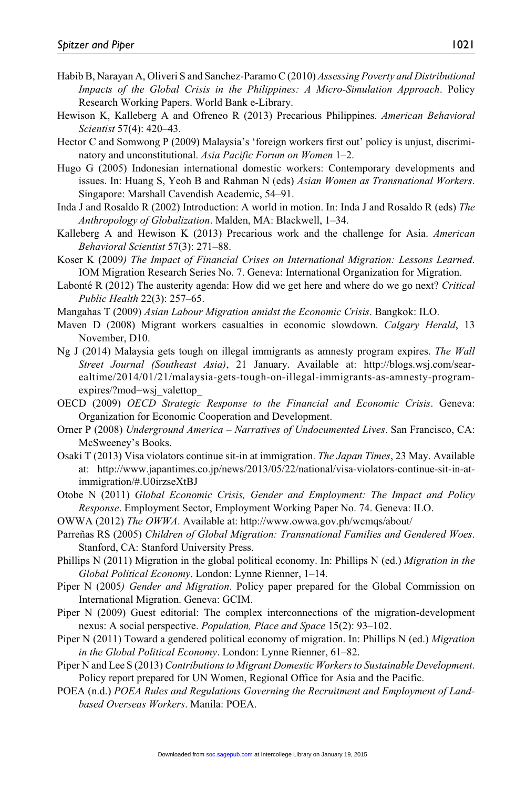- Habib B, Narayan A, Oliveri S and Sanchez-Paramo C (2010) *Assessing Poverty and Distributional Impacts of the Global Crisis in the Philippines: A Micro-Simulation Approach*. Policy Research Working Papers. World Bank e-Library.
- Hewison K, Kalleberg A and Ofreneo R (2013) Precarious Philippines. *American Behavioral Scientist* 57(4): 420–43.
- Hector C and Somwong P (2009) Malaysia's 'foreign workers first out' policy is unjust, discriminatory and unconstitutional. *Asia Pacific Forum on Women* 1–2.
- Hugo G (2005) Indonesian international domestic workers: Contemporary developments and issues. In: Huang S, Yeoh B and Rahman N (eds) *Asian Women as Transnational Workers*. Singapore: Marshall Cavendish Academic, 54–91.
- Inda J and Rosaldo R (2002) Introduction: A world in motion. In: Inda J and Rosaldo R (eds) *The Anthropology of Globalization*. Malden, MA: Blackwell, 1–34.
- Kalleberg A and Hewison K (2013) Precarious work and the challenge for Asia. *American Behavioral Scientist* 57(3): 271–88.
- Koser K (2009*) The Impact of Financial Crises on International Migration: Lessons Learned*. IOM Migration Research Series No. 7. Geneva: International Organization for Migration.
- Labonté R (2012) The austerity agenda: How did we get here and where do we go next? *Critical Public Health* 22(3): 257–65.
- Mangahas T (2009) *Asian Labour Migration amidst the Economic Crisis*. Bangkok: ILO.
- Maven D (2008) Migrant workers casualties in economic slowdown. *Calgary Herald*, 13 November, D10.
- Ng J (2014) Malaysia gets tough on illegal immigrants as amnesty program expires. *The Wall Street Journal (Southeast Asia)*, 21 January. Available at: http://blogs.wsj.com/searealtime/2014/01/21/malaysia-gets-tough-on-illegal-immigrants-as-amnesty-programexpires/?mod=wsj\_valettop\_
- OECD (2009) *OECD Strategic Response to the Financial and Economic Crisis*. Geneva: Organization for Economic Cooperation and Development.
- Orner P (2008) *Underground America Narratives of Undocumented Lives*. San Francisco, CA: McSweeney's Books.
- Osaki T (2013) Visa violators continue sit-in at immigration. *The Japan Times*, 23 May. Available at: http://www.japantimes.co.jp/news/2013/05/22/national/visa-violators-continue-sit-in-atimmigration/#.U0irzseXtBJ
- Otobe N (2011) *Global Economic Crisis, Gender and Employment: The Impact and Policy Response*. Employment Sector, Employment Working Paper No. 74. Geneva: ILO.
- OWWA (2012) *The OWWA*. Available at: http://www.owwa.gov.ph/wcmqs/about/
- Parreñas RS (2005) *Children of Global Migration: Transnational Families and Gendered Woes*. Stanford, CA: Stanford University Press.
- Phillips N (2011) Migration in the global political economy. In: Phillips N (ed.) *Migration in the Global Political Economy*. London: Lynne Rienner, 1–14.
- Piper N (2005*) Gender and Migration*. Policy paper prepared for the Global Commission on International Migration. Geneva: GCIM.
- Piper N (2009) Guest editorial: The complex interconnections of the migration-development nexus: A social perspective. *Population, Place and Space* 15(2): 93–102.
- Piper N (2011) Toward a gendered political economy of migration. In: Phillips N (ed.) *Migration in the Global Political Economy*. London: Lynne Rienner, 61–82.
- Piper N and Lee S (2013) *Contributions to Migrant Domestic Workers to Sustainable Development*. Policy report prepared for UN Women, Regional Office for Asia and the Pacific.
- POEA (n.d.) *POEA Rules and Regulations Governing the Recruitment and Employment of Landbased Overseas Workers*. Manila: POEA.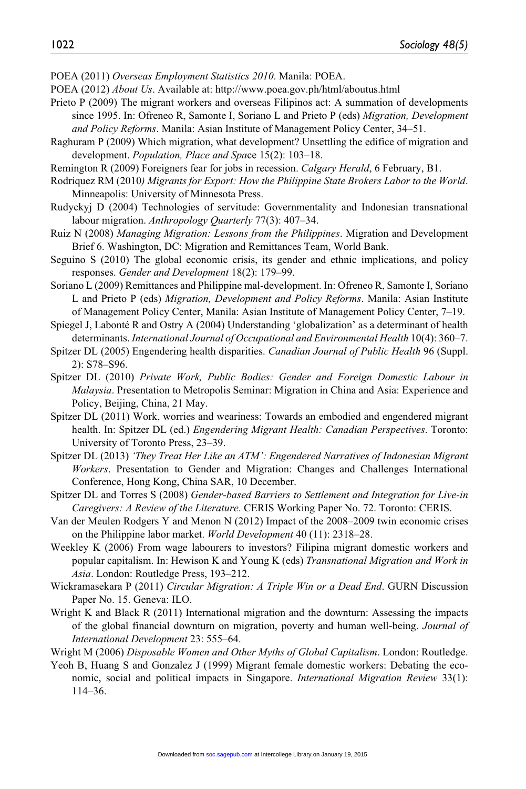POEA (2011) *Overseas Employment Statistics 2010*. Manila: POEA.

- POEA (2012) *About Us*. Available at: http://www.poea.gov.ph/html/aboutus.html
- Prieto P (2009) The migrant workers and overseas Filipinos act: A summation of developments since 1995. In: Ofreneo R, Samonte I, Soriano L and Prieto P (eds) *Migration, Development and Policy Reforms*. Manila: Asian Institute of Management Policy Center, 34–51.
- Raghuram P (2009) Which migration, what development? Unsettling the edifice of migration and development. *Population, Place and Spa*ce 15(2): 103–18.
- Remington R (2009) Foreigners fear for jobs in recession. *Calgary Herald*, 6 February, B1.
- Rodriquez RM (2010*) Migrants for Export: How the Philippine State Brokers Labor to the World*. Minneapolis: University of Minnesota Press.
- Rudyckyj D (2004) Technologies of servitude: Governmentality and Indonesian transnational labour migration. *Anthropology Quarterly* 77(3): 407–34.
- Ruiz N (2008) *Managing Migration: Lessons from the Philippines*. Migration and Development Brief 6. Washington, DC: Migration and Remittances Team, World Bank.
- Seguino S (2010) The global economic crisis, its gender and ethnic implications, and policy responses. *Gender and Development* 18(2): 179–99.
- Soriano L (2009) Remittances and Philippine mal-development. In: Ofreneo R, Samonte I, Soriano L and Prieto P (eds) *Migration, Development and Policy Reforms*. Manila: Asian Institute of Management Policy Center, Manila: Asian Institute of Management Policy Center, 7–19.
- Spiegel J, Labonté R and Ostry A (2004) Understanding 'globalization' as a determinant of health determinants. *International Journal of Occupational and Environmental Health* 10(4): 360–7.
- Spitzer DL (2005) Engendering health disparities. *Canadian Journal of Public Health* 96 (Suppl. 2): S78–S96.
- Spitzer DL (2010) *Private Work, Public Bodies: Gender and Foreign Domestic Labour in Malaysia*. Presentation to Metropolis Seminar: Migration in China and Asia: Experience and Policy, Beijing, China, 21 May.
- Spitzer DL (2011) Work, worries and weariness: Towards an embodied and engendered migrant health. In: Spitzer DL (ed.) *Engendering Migrant Health: Canadian Perspectives*. Toronto: University of Toronto Press, 23–39.
- Spitzer DL (2013) *'They Treat Her Like an ATM': Engendered Narratives of Indonesian Migrant Workers*. Presentation to Gender and Migration: Changes and Challenges International Conference, Hong Kong, China SAR, 10 December.
- Spitzer DL and Torres S (2008) *Gender-based Barriers to Settlement and Integration for Live-in Caregivers: A Review of the Literature*. CERIS Working Paper No. 72. Toronto: CERIS.
- Van der Meulen Rodgers Y and Menon N (2012) Impact of the 2008–2009 twin economic crises on the Philippine labor market. *World Development* 40 (11): 2318–28.
- Weekley K (2006) From wage labourers to investors? Filipina migrant domestic workers and popular capitalism. In: Hewison K and Young K (eds) *Transnational Migration and Work in Asia*. London: Routledge Press, 193–212.
- Wickramasekara P (2011) *Circular Migration: A Triple Win or a Dead End*. GURN Discussion Paper No. 15. Geneva: ILO.
- Wright K and Black R (2011) International migration and the downturn: Assessing the impacts of the global financial downturn on migration, poverty and human well-being. *Journal of International Development* 23: 555–64.
- Wright M (2006) *Disposable Women and Other Myths of Global Capitalism*. London: Routledge.
- Yeoh B, Huang S and Gonzalez J (1999) Migrant female domestic workers: Debating the economic, social and political impacts in Singapore. *International Migration Review* 33(1): 114–36.